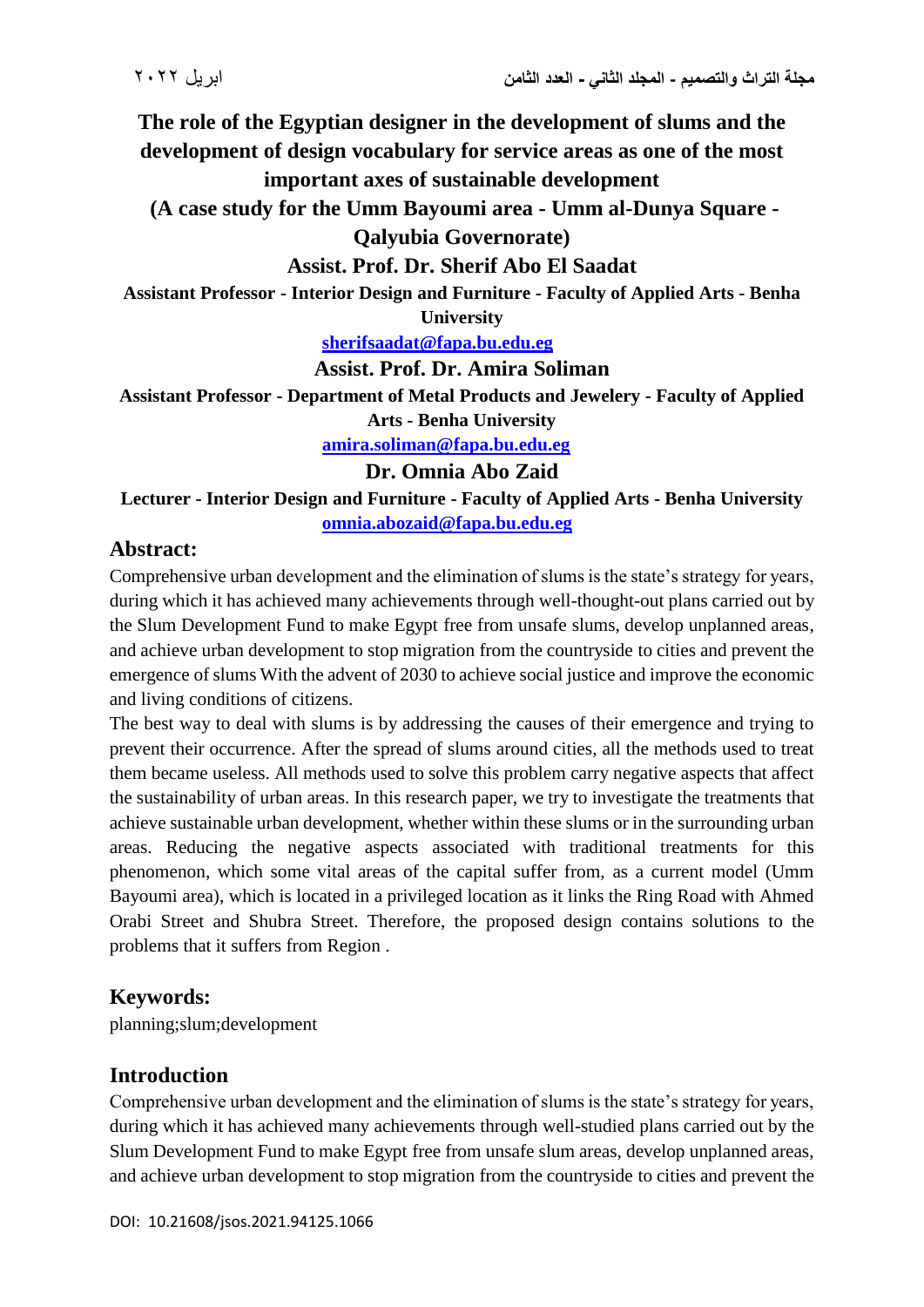**The role of the Egyptian designer in the development of slums and the development of design vocabulary for service areas as one of the most important axes of sustainable development**

**(A case study for the Umm Bayoumi area - Umm al-Dunya Square -**

**Qalyubia Governorate)**

## **Assist. Prof. Dr. Sherif Abo El Saadat**

**Assistant Professor - Interior Design and Furniture - Faculty of Applied Arts - Benha** 

**University**

**[sherifsaadat@fapa.bu.edu.eg](mailto:sherifsaadat@fapa.bu.edu.eg)**

#### **Assist. Prof. Dr. Amira Soliman**

**Assistant Professor - Department of Metal Products and Jewelery - Faculty of Applied** 

**Arts - Benha University**

**[amira.soliman@fapa.bu.edu.eg](mailto:amira.soliman@fapa.bu.edu.eg)**

**Dr. Omnia Abo Zaid**

**Lecturer - Interior Design and Furniture - Faculty of Applied Arts - Benha University [omnia.abozaid@fapa.bu.edu.eg](mailto:omnia.abozaid@fapa.bu.edu.eg)**

## **Abstract:**

Comprehensive urban development and the elimination of slums is the state's strategy for years, during which it has achieved many achievements through well-thought-out plans carried out by the Slum Development Fund to make Egypt free from unsafe slums, develop unplanned areas, and achieve urban development to stop migration from the countryside to cities and prevent the emergence of slums With the advent of 2030 to achieve social justice and improve the economic and living conditions of citizens.

The best way to deal with slums is by addressing the causes of their emergence and trying to prevent their occurrence. After the spread of slums around cities, all the methods used to treat them became useless. All methods used to solve this problem carry negative aspects that affect the sustainability of urban areas. In this research paper, we try to investigate the treatments that achieve sustainable urban development, whether within these slums or in the surrounding urban areas. Reducing the negative aspects associated with traditional treatments for this phenomenon, which some vital areas of the capital suffer from, as a current model (Umm Bayoumi area), which is located in a privileged location as it links the Ring Road with Ahmed Orabi Street and Shubra Street. Therefore, the proposed design contains solutions to the problems that it suffers from Region .

# **Keywords:**

planning;slum;development

## **Introduction**

Comprehensive urban development and the elimination of slums is the state's strategy for years, during which it has achieved many achievements through well-studied plans carried out by the Slum Development Fund to make Egypt free from unsafe slum areas, develop unplanned areas, and achieve urban development to stop migration from the countryside to cities and prevent the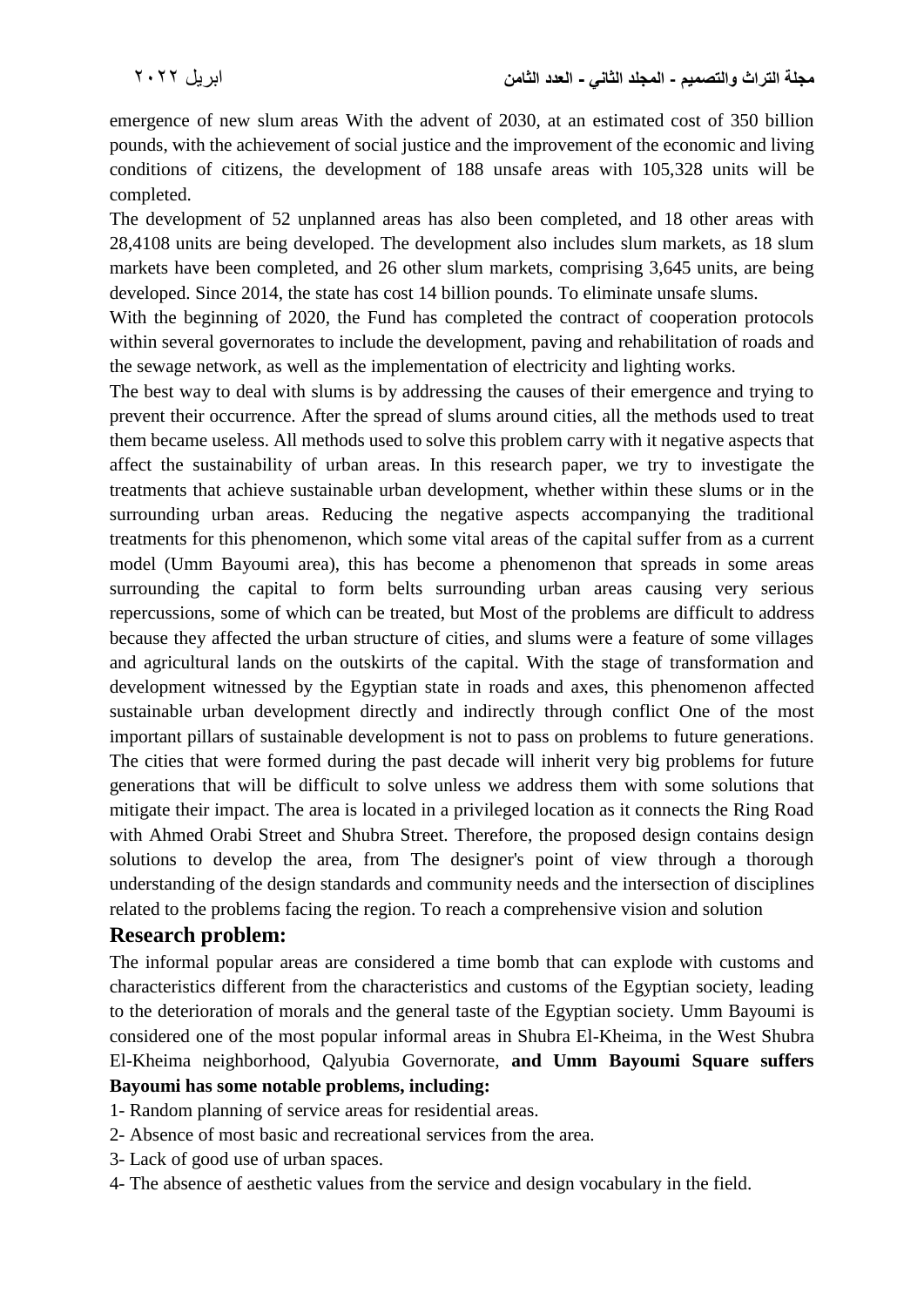emergence of new slum areas With the advent of 2030, at an estimated cost of 350 billion pounds, with the achievement of social justice and the improvement of the economic and living conditions of citizens, the development of 188 unsafe areas with 105,328 units will be completed.

The development of 52 unplanned areas has also been completed, and 18 other areas with 28,4108 units are being developed. The development also includes slum markets, as 18 slum markets have been completed, and 26 other slum markets, comprising 3,645 units, are being developed. Since 2014, the state has cost 14 billion pounds. To eliminate unsafe slums.

With the beginning of 2020, the Fund has completed the contract of cooperation protocols within several governorates to include the development, paving and rehabilitation of roads and the sewage network, as well as the implementation of electricity and lighting works.

The best way to deal with slums is by addressing the causes of their emergence and trying to prevent their occurrence. After the spread of slums around cities, all the methods used to treat them became useless. All methods used to solve this problem carry with it negative aspects that affect the sustainability of urban areas. In this research paper, we try to investigate the treatments that achieve sustainable urban development, whether within these slums or in the surrounding urban areas. Reducing the negative aspects accompanying the traditional treatments for this phenomenon, which some vital areas of the capital suffer from as a current model (Umm Bayoumi area), this has become a phenomenon that spreads in some areas surrounding the capital to form belts surrounding urban areas causing very serious repercussions, some of which can be treated, but Most of the problems are difficult to address because they affected the urban structure of cities, and slums were a feature of some villages and agricultural lands on the outskirts of the capital. With the stage of transformation and development witnessed by the Egyptian state in roads and axes, this phenomenon affected sustainable urban development directly and indirectly through conflict One of the most important pillars of sustainable development is not to pass on problems to future generations. The cities that were formed during the past decade will inherit very big problems for future generations that will be difficult to solve unless we address them with some solutions that mitigate their impact. The area is located in a privileged location as it connects the Ring Road with Ahmed Orabi Street and Shubra Street. Therefore, the proposed design contains design solutions to develop the area, from The designer's point of view through a thorough understanding of the design standards and community needs and the intersection of disciplines related to the problems facing the region. To reach a comprehensive vision and solution

## **Research problem:**

The informal popular areas are considered a time bomb that can explode with customs and characteristics different from the characteristics and customs of the Egyptian society, leading to the deterioration of morals and the general taste of the Egyptian society. Umm Bayoumi is considered one of the most popular informal areas in Shubra El-Kheima, in the West Shubra El-Kheima neighborhood, Qalyubia Governorate, **and Umm Bayoumi Square suffers Bayoumi has some notable problems, including:**

- 1- Random planning of service areas for residential areas.
- 2- Absence of most basic and recreational services from the area.
- 3- Lack of good use of urban spaces.
- 4- The absence of aesthetic values from the service and design vocabulary in the field.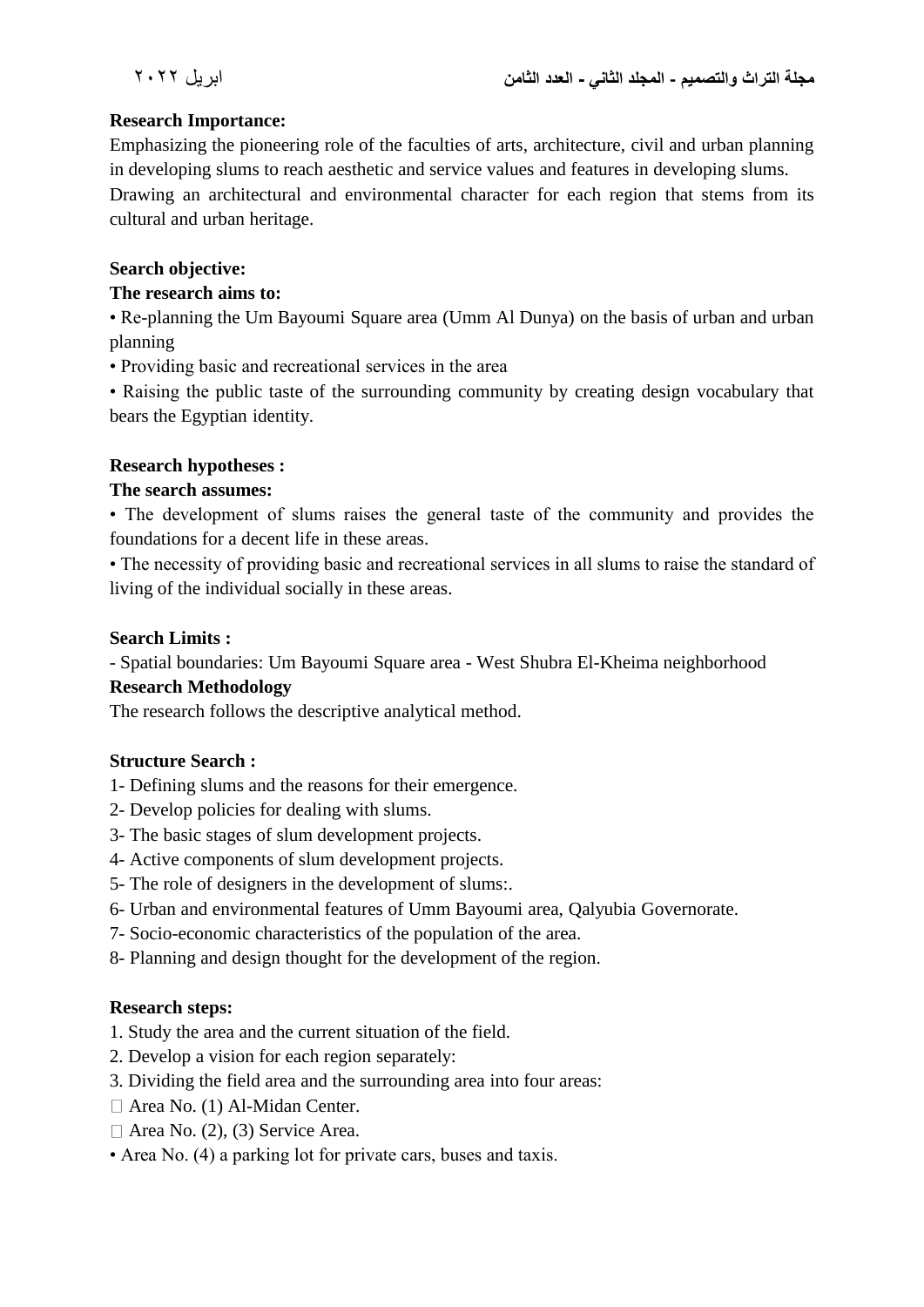#### **Research Importance:**

Emphasizing the pioneering role of the faculties of arts, architecture, civil and urban planning in developing slums to reach aesthetic and service values and features in developing slums. Drawing an architectural and environmental character for each region that stems from its cultural and urban heritage.

#### **Search objective:**

#### **The research aims to:**

• Re-planning the Um Bayoumi Square area (Umm Al Dunya) on the basis of urban and urban planning

• Providing basic and recreational services in the area

• Raising the public taste of the surrounding community by creating design vocabulary that bears the Egyptian identity.

#### **Research hypotheses :**

#### **The search assumes:**

• The development of slums raises the general taste of the community and provides the foundations for a decent life in these areas.

• The necessity of providing basic and recreational services in all slums to raise the standard of living of the individual socially in these areas.

#### **Search Limits :**

- Spatial boundaries: Um Bayoumi Square area - West Shubra El-Kheima neighborhood

## **Research Methodology**

The research follows the descriptive analytical method.

## **Structure Search :**

- 1- Defining slums and the reasons for their emergence.
- 2- Develop policies for dealing with slums.
- 3- The basic stages of slum development projects.
- 4- Active components of slum development projects.
- 5- The role of designers in the development of slums:.
- 6- Urban and environmental features of Umm Bayoumi area, Qalyubia Governorate.
- 7- Socio-economic characteristics of the population of the area.
- 8- Planning and design thought for the development of the region.

#### **Research steps:**

- 1. Study the area and the current situation of the field.
- 2. Develop a vision for each region separately:
- 3. Dividing the field area and the surrounding area into four areas:
- Area No. (1) Al-Midan Center.
- $\Box$  Area No. (2), (3) Service Area.
- Area No. (4) a parking lot for private cars, buses and taxis.